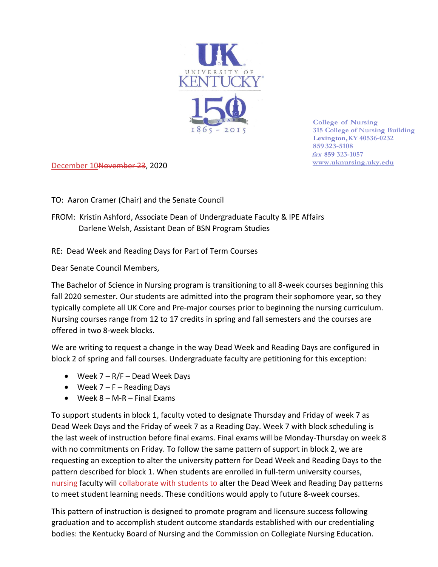

**College of Nursing 315 College of Nursing Building Lexington,KY 40536-0232 859 323-5108 fax 859 323-1057 [www.uknursing.uky.edu](http://www/)**

December 10November 23, 2020

TO: Aaron Cramer (Chair) and the Senate Council

FROM: Kristin Ashford, Associate Dean of Undergraduate Faculty & IPE Affairs Darlene Welsh, Assistant Dean of BSN Program Studies

RE: Dead Week and Reading Days for Part of Term Courses

Dear Senate Council Members,

The Bachelor of Science in Nursing program is transitioning to all 8-week courses beginning this fall 2020 semester. Our students are admitted into the program their sophomore year, so they typically complete all UK Core and Pre-major courses prior to beginning the nursing curriculum. Nursing courses range from 12 to 17 credits in spring and fall semesters and the courses are offered in two 8-week blocks.

We are writing to request a change in the way Dead Week and Reading Days are configured in block 2 of spring and fall courses. Undergraduate faculty are petitioning for this exception:

- Week 7 R/F Dead Week Days
- Week 7 F Reading Days
- Week  $8 M R F$  Final Exams

To support students in block 1, faculty voted to designate Thursday and Friday of week 7 as Dead Week Days and the Friday of week 7 as a Reading Day. Week 7 with block scheduling is the last week of instruction before final exams. Final exams will be Monday-Thursday on week 8 with no commitments on Friday. To follow the same pattern of support in block 2, we are requesting an exception to alter the university pattern for Dead Week and Reading Days to the pattern described for block 1. When students are enrolled in full-term university courses, nursing faculty will collaborate with students to alter the Dead Week and Reading Day patterns to meet student learning needs. These conditions would apply to future 8-week courses.

This pattern of instruction is designed to promote program and licensure success following graduation and to accomplish student outcome standards established with our credentialing bodies: the Kentucky Board of Nursing and the Commission on Collegiate Nursing Education.